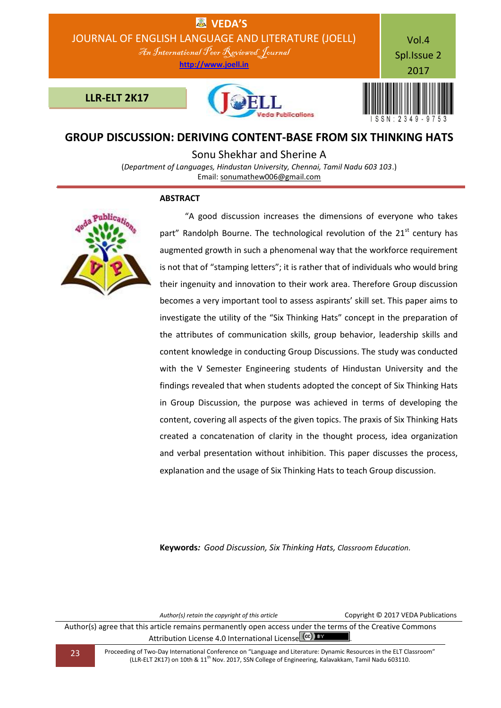

# **GROUP DISCUSSION: DERIVING CONTENT-BASE FROM SIX THINKING HATS**

Sonu Shekhar and Sherine A

(*Department of Languages, Hindustan University, Chennai, Tamil Nadu 603 103*.) Email: [sonumathew006@gmail.com](mailto:sonumathew006@gmail.com)

## **ABSTRACT**



 "A good discussion increases the dimensions of everyone who takes part" Randolph Bourne. The technological revolution of the  $21<sup>st</sup>$  century has augmented growth in such a phenomenal way that the workforce requirement is not that of "stamping letters"; it is rather that of individuals who would bring their ingenuity and innovation to their work area. Therefore Group discussion becomes a very important tool to assess aspirants' skill set. This paper aims to investigate the utility of the "Six Thinking Hats" concept in the preparation of the attributes of communication skills, group behavior, leadership skills and content knowledge in conducting Group Discussions. The study was conducted with the V Semester Engineering students of Hindustan University and the findings revealed that when students adopted the concept of Six Thinking Hats in Group Discussion, the purpose was achieved in terms of developing the content, covering all aspects of the given topics. The praxis of Six Thinking Hats created a concatenation of clarity in the thought process, idea organization and verbal presentation without inhibition. This paper discusses the process, explanation and the usage of Six Thinking Hats to teach Group discussion.

**Keywords***: Good Discussion, Six Thinking Hats, Classroom Education.*

*Author(s) retain the copyright of this article* Copyright © 2017 VEDA Publications

Author(s) agree that this article remains permanently open access under the terms of the Creative Commons Attribution License 4.0 International License (cc) EY

23 Proceeding of Two-Day International Conference on "Language and Literature: Dynamic Resources in the ELT Classroom" (LLR-ELT 2K17) on 10th & 11th Nov. 2017, SSN College of Engineering, Kalavakkam, Tamil Nadu 603110.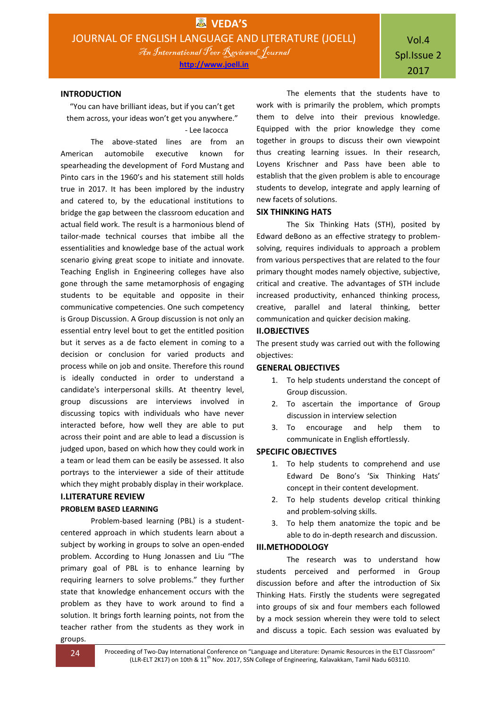### **INTRODUCTION**

"You can have brilliant ideas, but if you can't get them across, your ideas won't get you anywhere." - Lee Iacocca

The above-stated lines are from an American automobile executive known for spearheading the development of Ford Mustang and Pinto cars in the 1960's and his statement still holds true in 2017. It has been implored by the industry and catered to, by the educational institutions to bridge the gap between the classroom education and actual field work. The result is a harmonious blend of tailor-made technical courses that imbibe all the essentialities and knowledge base of the actual work scenario giving great scope to initiate and innovate. Teaching English in Engineering colleges have also gone through the same metamorphosis of engaging students to be equitable and opposite in their communicative competencies. One such competency is Group Discussion. A Group discussion is not only an essential entry level bout to get the entitled position but it serves as a de facto element in coming to a decision or conclusion for varied products and process while on job and onsite. Therefore this round is ideally conducted in order to understand a candidate's interpersonal skills. At theentry level, group discussions are interviews involved in discussing topics with individuals who have never interacted before, how well they are able to put across their point and are able to lead a discussion is judged upon, based on which how they could work in a team or lead them can be easily be assessed. It also portrays to the interviewer a side of their attitude which they might probably display in their workplace.

# **I.LITERATURE REVIEW**

## **PROBLEM BASED LEARNING**

Problem-based learning (PBL) is a studentcentered approach in which students learn about a subject by working in groups to solve an open-ended problem. According to Hung Jonassen and Liu "The primary goal of PBL is to enhance learning by requiring learners to solve problems." they further state that knowledge enhancement occurs with the problem as they have to work around to find a solution. It brings forth learning points, not from the teacher rather from the students as they work in

The elements that the students have to work with is primarily the problem, which prompts them to delve into their previous knowledge. Equipped with the prior knowledge they come together in groups to discuss their own viewpoint thus creating learning issues. In their research, Loyens Krischner and Pass have been able to establish that the given problem is able to encourage students to develop, integrate and apply learning of new facets of solutions.

#### **SIX THINKING HATS**

The Six Thinking Hats (STH), posited by Edward deBono as an effective strategy to problemsolving, requires individuals to approach a problem from various perspectives that are related to the four primary thought modes namely objective, subjective, critical and creative. The advantages of STH include increased productivity, enhanced thinking process, creative, parallel and lateral thinking, better communication and quicker decision making.

## **II.OBJECTIVES**

The present study was carried out with the following objectives:

#### **GENERAL OBJECTIVES**

- 1. To help students understand the concept of Group discussion.
- 2. To ascertain the importance of Group discussion in interview selection
- 3. To encourage and help them to communicate in English effortlessly.

### **SPECIFIC OBJECTIVES**

- 1. To help students to comprehend and use Edward De Bono's 'Six Thinking Hats' concept in their content development.
- 2. To help students develop critical thinking and problem-solving skills.
- 3. To help them anatomize the topic and be able to do in-depth research and discussion.

### **III.METHODOLOGY**

The research was to understand how students perceived and performed in Group discussion before and after the introduction of Six Thinking Hats. Firstly the students were segregated into groups of six and four members each followed by a mock session wherein they were told to select and discuss a topic. Each session was evaluated by

groups.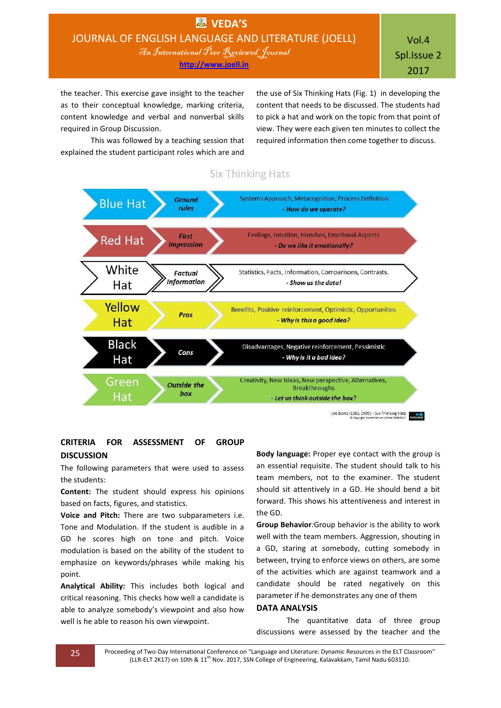Vol.4 Spl.Issue 2 2017

the teacher. This exercise gave insight to the teacher as to their conceptual knowledge, marking criteria, content knowledge and verbal and nonverbal skills required in Group Discussion.

This was followed by a teaching session that explained the student participant roles which are and

the use of Six Thinking Hats (Fig. 1) in developing the content that needs to be discussed. The students had to pick a hat and work on the topic from that point of view. They were each given ten minutes to collect the required information then come together to discuss.

# **Six Thinking Hats**



## **CRITERIA FOR ASSESSMENT OF GROUP DISCUSSION**

The following parameters that were used to assess the students:

**Content:** The student should express his opinions based on facts, figures, and statistics.

**Voice and Pitch:** There are two subparameters i.e. Tone and Modulation. If the student is audible in a GD he scores high on tone and pitch. Voice modulation is based on the ability of the student to emphasize on keywords/phrases while making his point.

**Analytical Ability:** This includes both logical and critical reasoning. This checks how well a candidate is able to analyze somebody's viewpoint and also how well is he able to reason his own viewpoint.

**Body language:** Proper eye contact with the group is an essential requisite. The student should talk to his team members, not to the examiner. The student should sit attentively in a GD. He should bend a bit forward. This shows his attentiveness and interest in the GD.

**Group Behavior***:*Group behavior is the ability to work well with the team members. Aggression, shouting in a GD, staring at somebody, cutting somebody in between, trying to enforce views on others, are some of the activities which are against teamwork and a candidate should be rated negatively on this parameter if he demonstrates any one of them

### **DATA ANALYSIS**

The quantitative data of three group discussions were assessed by the teacher and the

25 Proceeding of Two-Day International Conference on "Language and Literature: Dynamic Resources in the ELT Classroom" (LLR-ELT 2K17) on 10th & 11<sup>th</sup> Nov. 2017, SSN College of Engineering, Kalavakkam, Tamil Nadu 603110.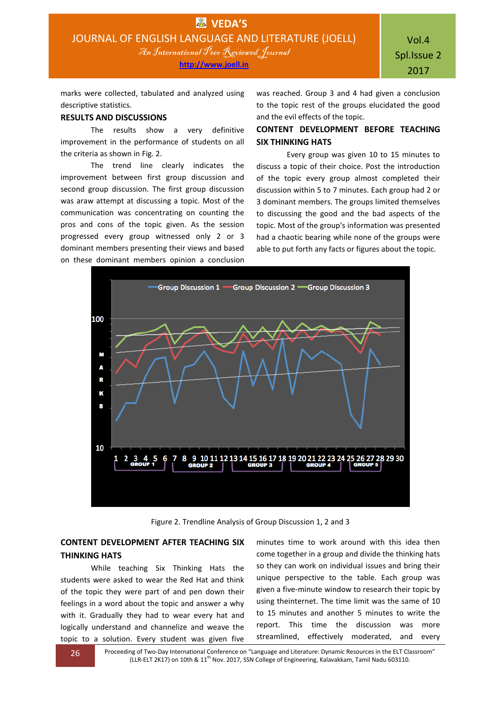marks were collected, tabulated and analyzed using descriptive statistics.

### **RESULTS AND DISCUSSIONS**

The results show a very definitive improvement in the performance of students on all the criteria as shown in Fig. 2.

The trend line clearly indicates the improvement between first group discussion and second group discussion. The first group discussion was araw attempt at discussing a topic. Most of the communication was concentrating on counting the pros and cons of the topic given. As the session progressed every group witnessed only 2 or 3 dominant members presenting their views and based on these dominant members opinion a conclusion

was reached. Group 3 and 4 had given a conclusion to the topic rest of the groups elucidated the good and the evil effects of the topic.

# **CONTENT DEVELOPMENT BEFORE TEACHING SIX THINKING HATS**

Every group was given 10 to 15 minutes to discuss a topic of their choice. Post the introduction of the topic every group almost completed their discussion within 5 to 7 minutes. Each group had 2 or 3 dominant members. The groups limited themselves to discussing the good and the bad aspects of the topic. Most of the group's information was presented had a chaotic bearing while none of the groups were able to put forth any facts or figures about the topic.



Figure 2. Trendline Analysis of Group Discussion 1, 2 and 3

# **CONTENT DEVELOPMENT AFTER TEACHING SIX THINKING HATS**

While teaching Six Thinking Hats the students were asked to wear the Red Hat and think of the topic they were part of and pen down their feelings in a word about the topic and answer a why with it. Gradually they had to wear every hat and logically understand and channelize and weave the topic to a solution. Every student was given five

minutes time to work around with this idea then come together in a group and divide the thinking hats so they can work on individual issues and bring their unique perspective to the table. Each group was given a five-minute window to research their topic by using theinternet. The time limit was the same of 10 to 15 minutes and another 5 minutes to write the report. This time the discussion was more streamlined, effectively moderated, and every

26 Proceeding of Two-Day International Conference on "Language and Literature: Dynamic Resources in the ELT Classroom" (LLR-ELT 2K17) on 10th & 11th Nov. 2017, SSN College of Engineering, Kalavakkam, Tamil Nadu 603110.